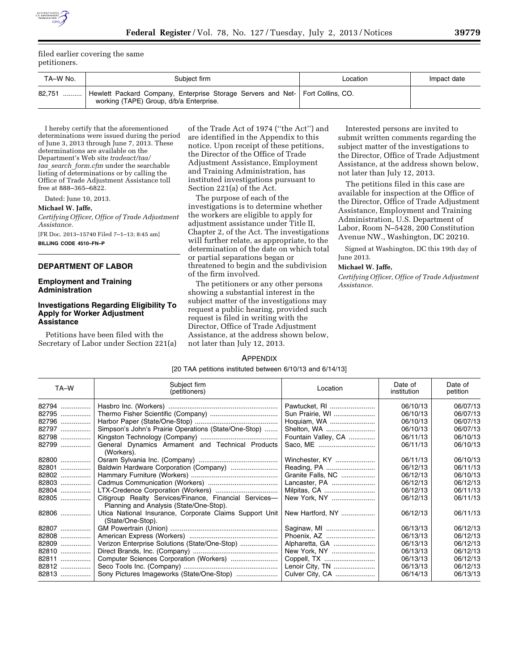filed earlier covering the same petitioners.

| TA-W No.      | Subiect firm                                                                                                              | Location | Impact date |
|---------------|---------------------------------------------------------------------------------------------------------------------------|----------|-------------|
| 82.751<br>. 1 | Hewlett Packard Company, Enterprise Storage Servers and Net- Fort Collins, CO.<br>working (TAPE) Group, d/b/a Enterprise. |          |             |

I hereby certify that the aforementioned determinations were issued during the period of June 3, 2013 through June 7, 2013. These determinations are available on the Department's Web site *tradeact/taa/ taa*\_*search*\_*form.cfm* under the searchable listing of determinations or by calling the Office of Trade Adjustment Assistance toll free at 888–365–6822.

Dated: June 10, 2013.

**Michael W. Jaffe,** 

*Certifying Officer, Office of Trade Adjustment Assistance.* 

[FR Doc. 2013–15740 Filed 7–1–13; 8:45 am] **BILLING CODE 4510–FN–P** 

#### **DEPARTMENT OF LABOR**

## **Employment and Training Administration**

# **Investigations Regarding Eligibility To Apply for Worker Adjustment Assistance**

Petitions have been filed with the Secretary of Labor under Section 221(a)

of the Trade Act of 1974 (''the Act'') and are identified in the Appendix to this notice. Upon receipt of these petitions, the Director of the Office of Trade Adjustment Assistance, Employment and Training Administration, has instituted investigations pursuant to Section 221(a) of the Act.

The purpose of each of the investigations is to determine whether the workers are eligible to apply for adjustment assistance under Title II, Chapter 2, of the Act. The investigations will further relate, as appropriate, to the determination of the date on which total or partial separations began or threatened to begin and the subdivision of the firm involved.

The petitioners or any other persons showing a substantial interest in the subject matter of the investigations may request a public hearing, provided such request is filed in writing with the Director, Office of Trade Adjustment Assistance, at the address shown below, not later than July 12, 2013.

Interested persons are invited to submit written comments regarding the subject matter of the investigations to the Director, Office of Trade Adjustment Assistance, at the address shown below, not later than July 12, 2013.

The petitions filed in this case are available for inspection at the Office of the Director, Office of Trade Adjustment Assistance, Employment and Training Administration, U.S. Department of Labor, Room N–5428, 200 Constitution Avenue NW., Washington, DC 20210.

Signed at Washington, DC this 19th day of June 2013.

## **Michael W. Jaffe,**

*Certifying Officer, Office of Trade Adjustment Assistance.* 

#### APPENDIX

[20 TAA petitions instituted between 6/10/13 and 6/14/13]

| TA-W  | Subject firm<br>(petitioners)                                                                     | Location            | Date of<br>institution | Date of<br>petition |
|-------|---------------------------------------------------------------------------------------------------|---------------------|------------------------|---------------------|
| 82794 |                                                                                                   | Pawtucket, RI       | 06/10/13               | 06/07/13            |
| 82795 |                                                                                                   | Sun Prairie, WI     | 06/10/13               | 06/07/13            |
| 82796 |                                                                                                   | Hoquiam, WA         | 06/10/13               | 06/07/13            |
| 82797 | Simpson's John's Prairie Operations (State/One-Stop)                                              | Shelton, WA         | 06/10/13               | 06/07/13            |
| 82798 |                                                                                                   | Fountain Valley, CA | 06/11/13               | 06/10/13            |
| 82799 | General Dynamics Armament and Technical Products<br>(Workers).                                    |                     | 06/11/13               | 06/10/13            |
| 82800 |                                                                                                   | Winchester, KY      | 06/11/13               | 06/10/13            |
| 82801 | Baldwin Hardware Corporation (Company)                                                            | Reading, PA         | 06/12/13               | 06/11/13            |
| 82802 |                                                                                                   | Granite Falls, NC   | 06/12/13               | 06/10/13            |
| 82803 |                                                                                                   | Lancaster, PA       | 06/12/13               | 06/12/13            |
| 82804 |                                                                                                   | Milpitas, CA        | 06/12/13               | 06/11/13            |
| 82805 | Citigroup Realty Services/Finance, Financial Services-<br>Planning and Analysis (State/One-Stop). | New York, NY        | 06/12/13               | 06/11/13            |
| 82806 | Utica National Insurance, Corporate Claims Support Unit<br>(State/One-Stop).                      | New Hartford, NY    | 06/12/13               | 06/11/13            |
| 82807 |                                                                                                   | Saginaw, MI         | 06/13/13               | 06/12/13            |
| 82808 |                                                                                                   | Phoenix, AZ         | 06/13/13               | 06/12/13            |
| 82809 | Verizon Enterprise Solutions (State/One-Stop)                                                     | Alpharetta, GA      | 06/13/13               | 06/12/13            |
| 82810 |                                                                                                   | New York, NY        | 06/13/13               | 06/12/13            |
| 82811 |                                                                                                   | Coppell, TX         | 06/13/13               | 06/12/13            |
| 82812 |                                                                                                   | Lenoir City, TN     | 06/13/13               | 06/12/13            |
| 82813 |                                                                                                   | Culver City, CA     | 06/14/13               | 06/13/13            |